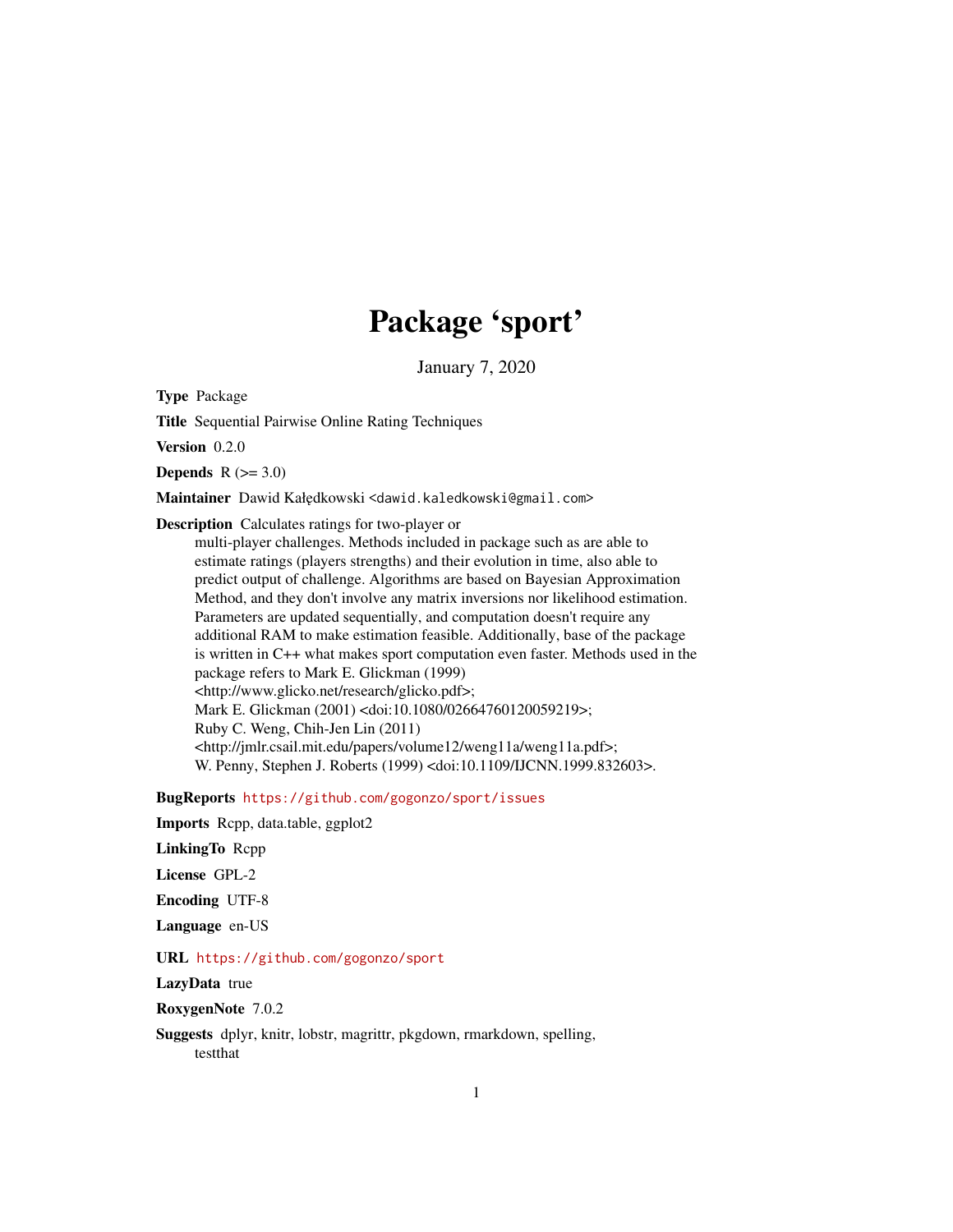# Package 'sport'

January 7, 2020

Type Package

Title Sequential Pairwise Online Rating Techniques

Version 0.2.0

Depends  $R$  ( $>= 3.0$ )

Maintainer Dawid Kałędkowski <dawid.kaledkowski@gmail.com>

Description Calculates ratings for two-player or

multi-player challenges. Methods included in package such as are able to estimate ratings (players strengths) and their evolution in time, also able to predict output of challenge. Algorithms are based on Bayesian Approximation Method, and they don't involve any matrix inversions nor likelihood estimation. Parameters are updated sequentially, and computation doesn't require any additional RAM to make estimation feasible. Additionally, base of the package is written in C++ what makes sport computation even faster. Methods used in the package refers to Mark E. Glickman (1999) <http://www.glicko.net/research/glicko.pdf>; Mark E. Glickman (2001) <doi:10.1080/02664760120059219>; Ruby C. Weng, Chih-Jen Lin (2011) <http://jmlr.csail.mit.edu/papers/volume12/weng11a/weng11a.pdf>; W. Penny, Stephen J. Roberts (1999) <doi:10.1109/IJCNN.1999.832603>.

BugReports <https://github.com/gogonzo/sport/issues>

Imports Rcpp, data.table, ggplot2

LinkingTo Rcpp

License GPL-2

Encoding UTF-8

Language en-US

URL <https://github.com/gogonzo/sport>

LazyData true

RoxygenNote 7.0.2

Suggests dplyr, knitr, lobstr, magrittr, pkgdown, rmarkdown, spelling, testthat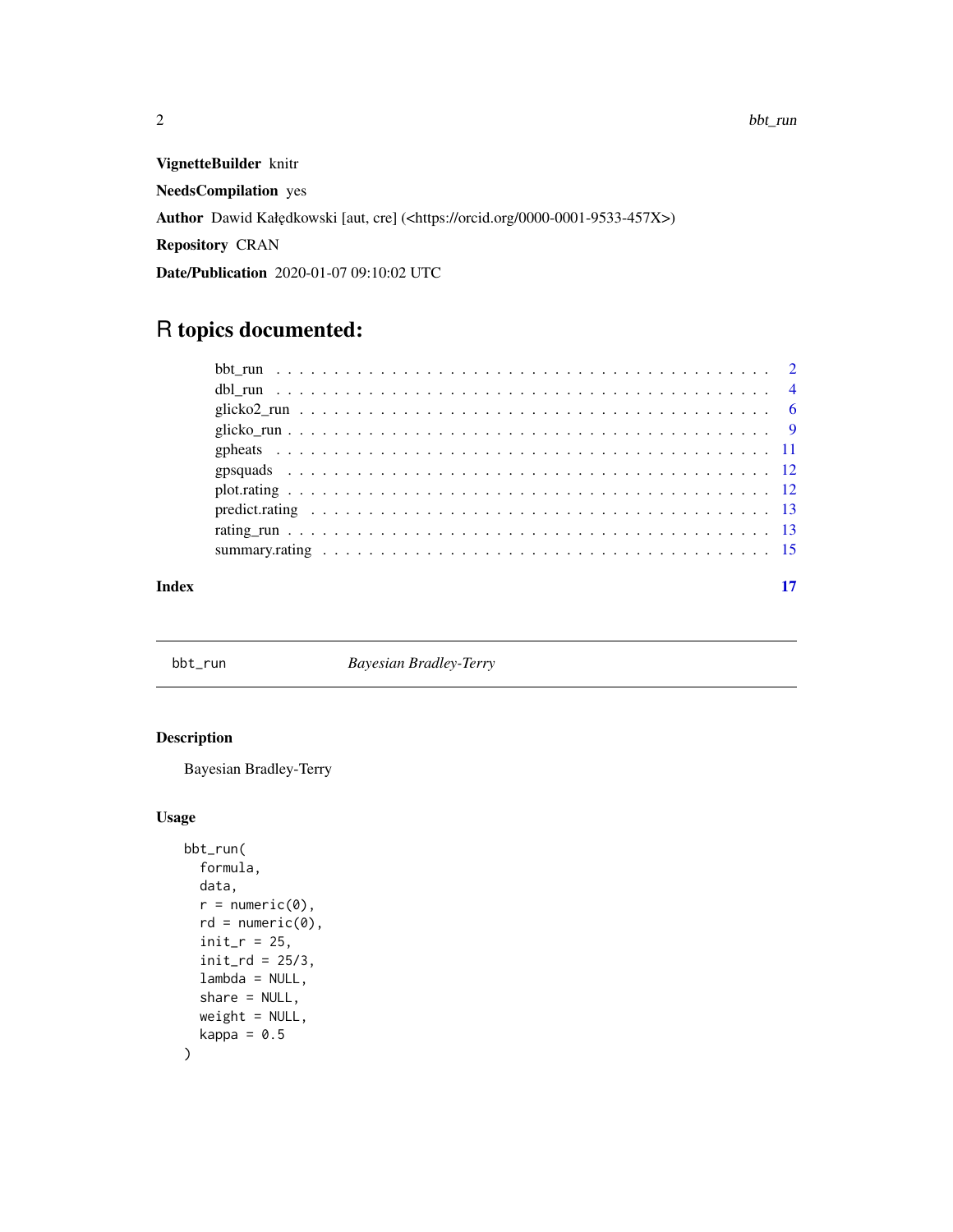<span id="page-1-0"></span>VignetteBuilder knitr

NeedsCompilation yes

Author Dawid Kałędkowski [aut, cre] (<https://orcid.org/0000-0001-9533-457X>)

Repository CRAN

Date/Publication 2020-01-07 09:10:02 UTC

# R topics documented:

| Index |  |
|-------|--|

bbt\_run *Bayesian Bradley-Terry*

# Description

Bayesian Bradley-Terry

```
bbt_run(
 formula,
 data,
  r = numeric(0),
  rd = numeric(0),
  init_r = 25,
  init\_rd = 25/3,
  lambda = NULL,
  share = NULL,
 weight = NULL,kappa = 0.5\mathcal{L}
```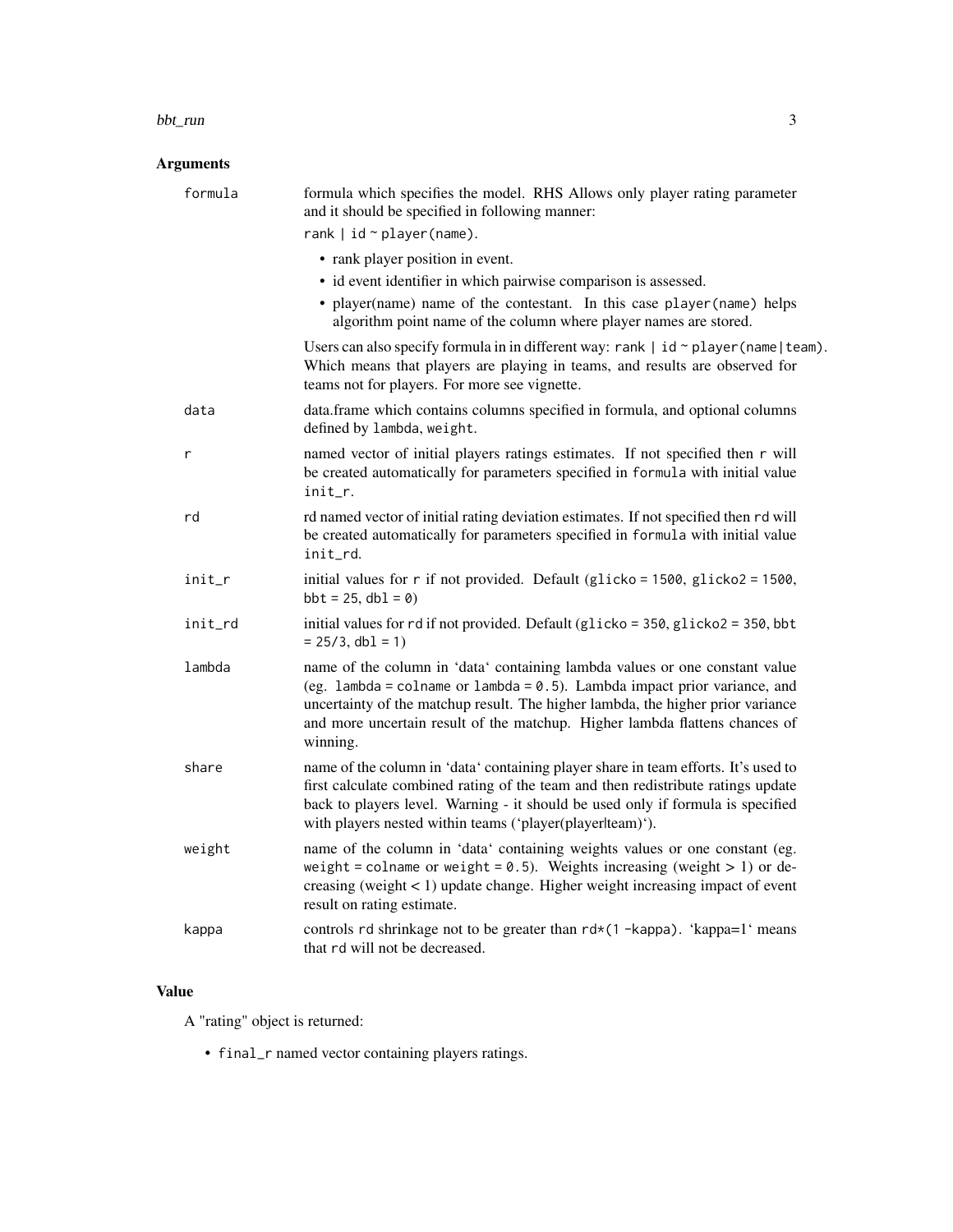#### bbt\_run 3

# Arguments

| and it should be specified in following manner:                                                                                                                                                                                                                                                                                           |
|-------------------------------------------------------------------------------------------------------------------------------------------------------------------------------------------------------------------------------------------------------------------------------------------------------------------------------------------|
| rank $ $ id $\sim$ player (name).                                                                                                                                                                                                                                                                                                         |
| • rank player position in event.                                                                                                                                                                                                                                                                                                          |
| • id event identifier in which pairwise comparison is assessed.                                                                                                                                                                                                                                                                           |
| • player(name) name of the contestant. In this case player(name) helps<br>algorithm point name of the column where player names are stored.                                                                                                                                                                                               |
| Users can also specify formula in in different way: rank $\vert$ id $\sim$ player (name   team).<br>Which means that players are playing in teams, and results are observed for<br>teams not for players. For more see vignette.                                                                                                          |
| data.frame which contains columns specified in formula, and optional columns<br>defined by lambda, weight.                                                                                                                                                                                                                                |
| named vector of initial players ratings estimates. If not specified then r will<br>be created automatically for parameters specified in formula with initial value<br>init r.                                                                                                                                                             |
| rd named vector of initial rating deviation estimates. If not specified then rd will<br>be created automatically for parameters specified in formula with initial value<br>init_rd.                                                                                                                                                       |
| initial values for $r$ if not provided. Default (glicko = 1500, glicko2 = 1500,<br>$bbt = 25$ , $dbl = 0$                                                                                                                                                                                                                                 |
| initial values for rd if not provided. Default (glicko = 350, glicko2 = 350, bbt<br>$= 25/3$ , db1 = 1)                                                                                                                                                                                                                                   |
| name of the column in 'data' containing lambda values or one constant value<br>(eg. lambda = colname or lambda = $0.5$ ). Lambda impact prior variance, and<br>uncertainty of the matchup result. The higher lambda, the higher prior variance<br>and more uncertain result of the matchup. Higher lambda flattens chances of<br>winning. |
| name of the column in 'data' containing player share in team efforts. It's used to<br>first calculate combined rating of the team and then redistribute ratings update<br>back to players level. Warning - it should be used only if formula is specified<br>with players nested within teams ('player(playerlteam)').                    |
| name of the column in 'data' containing weights values or one constant (eg.<br>weight = colname or weight = $0.5$ ). Weights increasing (weight > 1) or de-<br>creasing (weight $< 1$ ) update change. Higher weight increasing impact of event<br>result on rating estimate.                                                             |
| controls rd shrinkage not to be greater than rd*(1-kappa). 'kappa=1' means<br>that rd will not be decreased.                                                                                                                                                                                                                              |
|                                                                                                                                                                                                                                                                                                                                           |

# Value

A "rating" object is returned:

• final\_r named vector containing players ratings.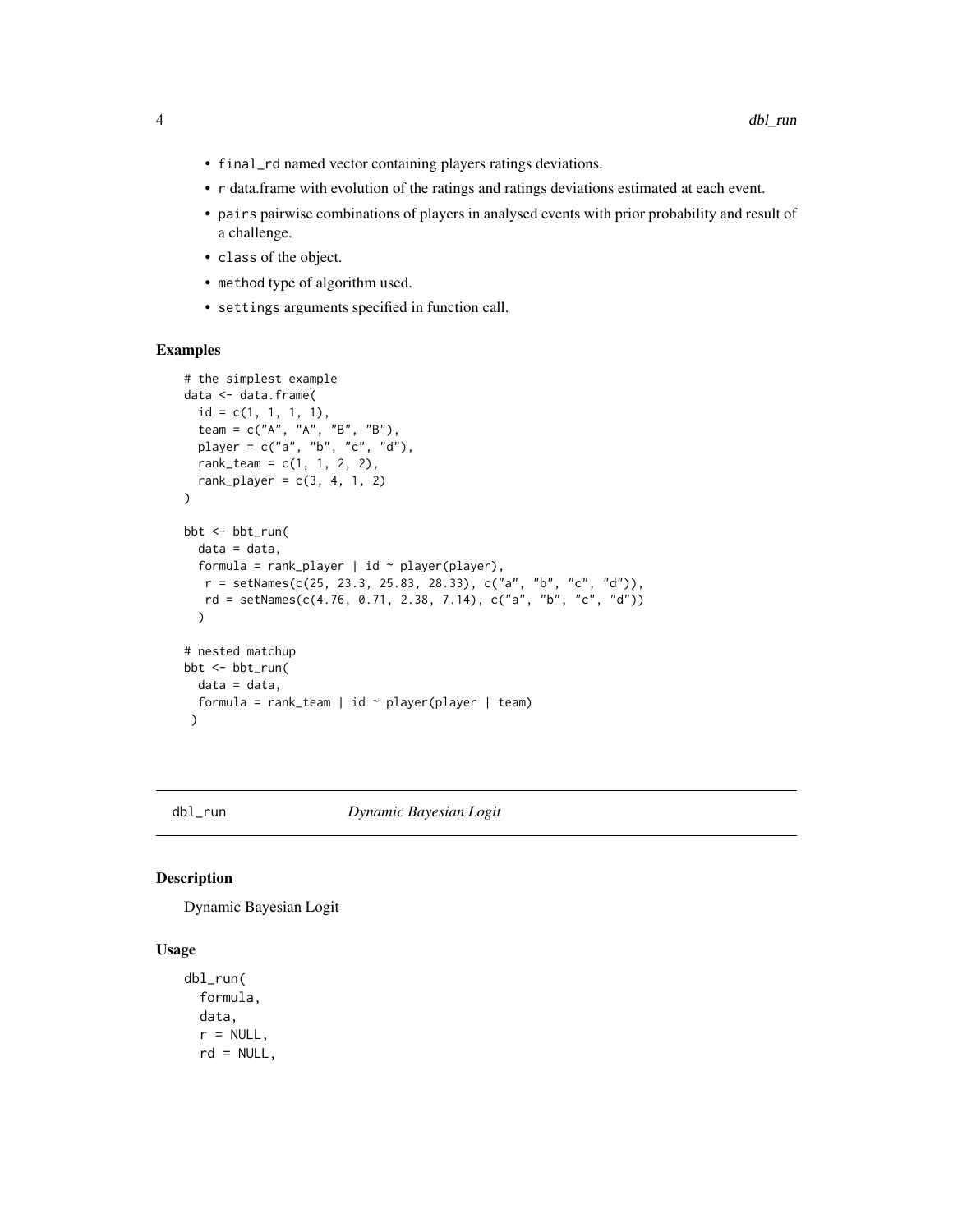- <span id="page-3-0"></span>• final\_rd named vector containing players ratings deviations.
- r data.frame with evolution of the ratings and ratings deviations estimated at each event.
- pairs pairwise combinations of players in analysed events with prior probability and result of a challenge.
- class of the object.
- method type of algorithm used.
- settings arguments specified in function call.

#### Examples

```
# the simplest example
data <- data.frame(
  id = c(1, 1, 1, 1),team = c("A", "A", "B", "B"),
  player = c("a", "b", "c", "d"),
  rank\_team = c(1, 1, 2, 2),rank_player = c(3, 4, 1, 2)\lambdabbt <- bbt_run(
  data = data,
  formula = rank_player | id \sim player(player),
  r = setNames(c(25, 23.3, 25.83, 28.33), c("a", "b", "c", "d")),
  rd = setNames(c(4.76, 0.71, 2.38, 7.14), c("a", "b", "c", "d")))
# nested matchup
bbt <- bbt_run(
  data = data,formula = rank\_team | id ~ player(player | team)
 \lambda
```
#### dbl\_run *Dynamic Bayesian Logit*

#### Description

Dynamic Bayesian Logit

```
dbl_run(
  formula,
  data,
  r = NULL,rd = NULL,
```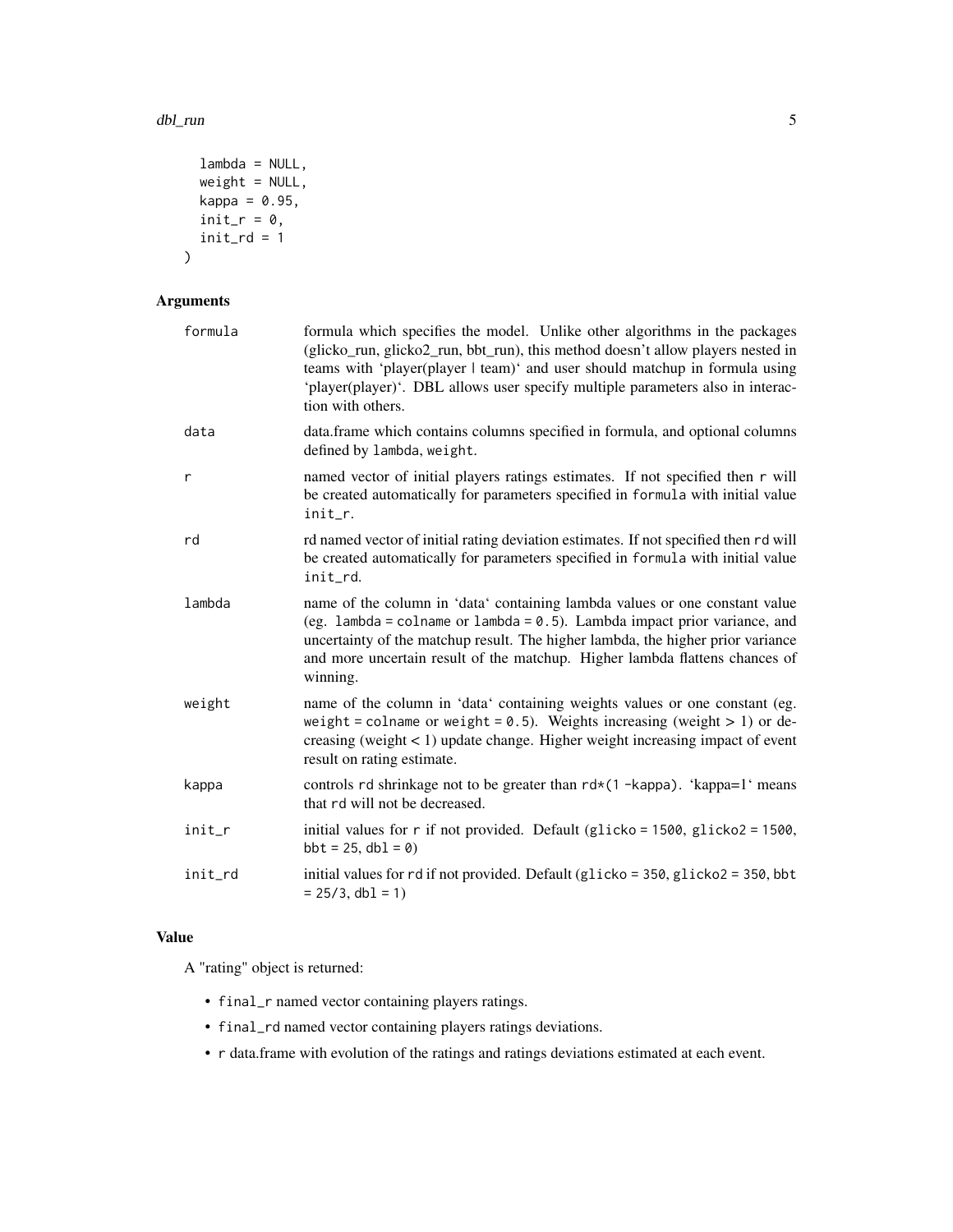#### dbl\_run 5

```
lambda = NULL,weight = NULL,
 kappa = 0.95,
 init_r = 0,
 init\_rd = 1)
```
# Arguments

| formula | formula which specifies the model. Unlike other algorithms in the packages<br>(glicko_run, glicko2_run, bbt_run), this method doesn't allow players nested in<br>teams with 'player(player   team)' and user should matchup in formula using<br>'player(player)'. DBL allows user specify multiple parameters also in interac-<br>tion with others. |
|---------|-----------------------------------------------------------------------------------------------------------------------------------------------------------------------------------------------------------------------------------------------------------------------------------------------------------------------------------------------------|
| data    | data.frame which contains columns specified in formula, and optional columns<br>defined by lambda, weight.                                                                                                                                                                                                                                          |
| r       | named vector of initial players ratings estimates. If not specified then r will<br>be created automatically for parameters specified in formula with initial value<br>init_r.                                                                                                                                                                       |
| rd      | rd named vector of initial rating deviation estimates. If not specified then rd will<br>be created automatically for parameters specified in formula with initial value<br>init_rd.                                                                                                                                                                 |
| lambda  | name of the column in 'data' containing lambda values or one constant value<br>(eg. lambda = colname or lambda = $0.5$ ). Lambda impact prior variance, and<br>uncertainty of the matchup result. The higher lambda, the higher prior variance<br>and more uncertain result of the matchup. Higher lambda flattens chances of<br>winning.           |
| weight  | name of the column in 'data' containing weights values or one constant (eg.<br>weight = colname or weight = $0.5$ ). Weights increasing (weight > 1) or de-<br>creasing (weight $< 1$ ) update change. Higher weight increasing impact of event<br>result on rating estimate.                                                                       |
| kappa   | controls rd shrinkage not to be greater than rd*(1-kappa). 'kappa=1' means<br>that rd will not be decreased.                                                                                                                                                                                                                                        |
| init_r  | initial values for $r$ if not provided. Default (glicko = 1500, glicko2 = 1500,<br>$bbt = 25$ , $dbl = 0)$                                                                                                                                                                                                                                          |
| init_rd | initial values for rd if not provided. Default (glicko = 350, glicko2 = 350, bbt<br>$= 25/3$ , db1 = 1)                                                                                                                                                                                                                                             |

# Value

A "rating" object is returned:

- final\_r named vector containing players ratings.
- final\_rd named vector containing players ratings deviations.
- r data.frame with evolution of the ratings and ratings deviations estimated at each event.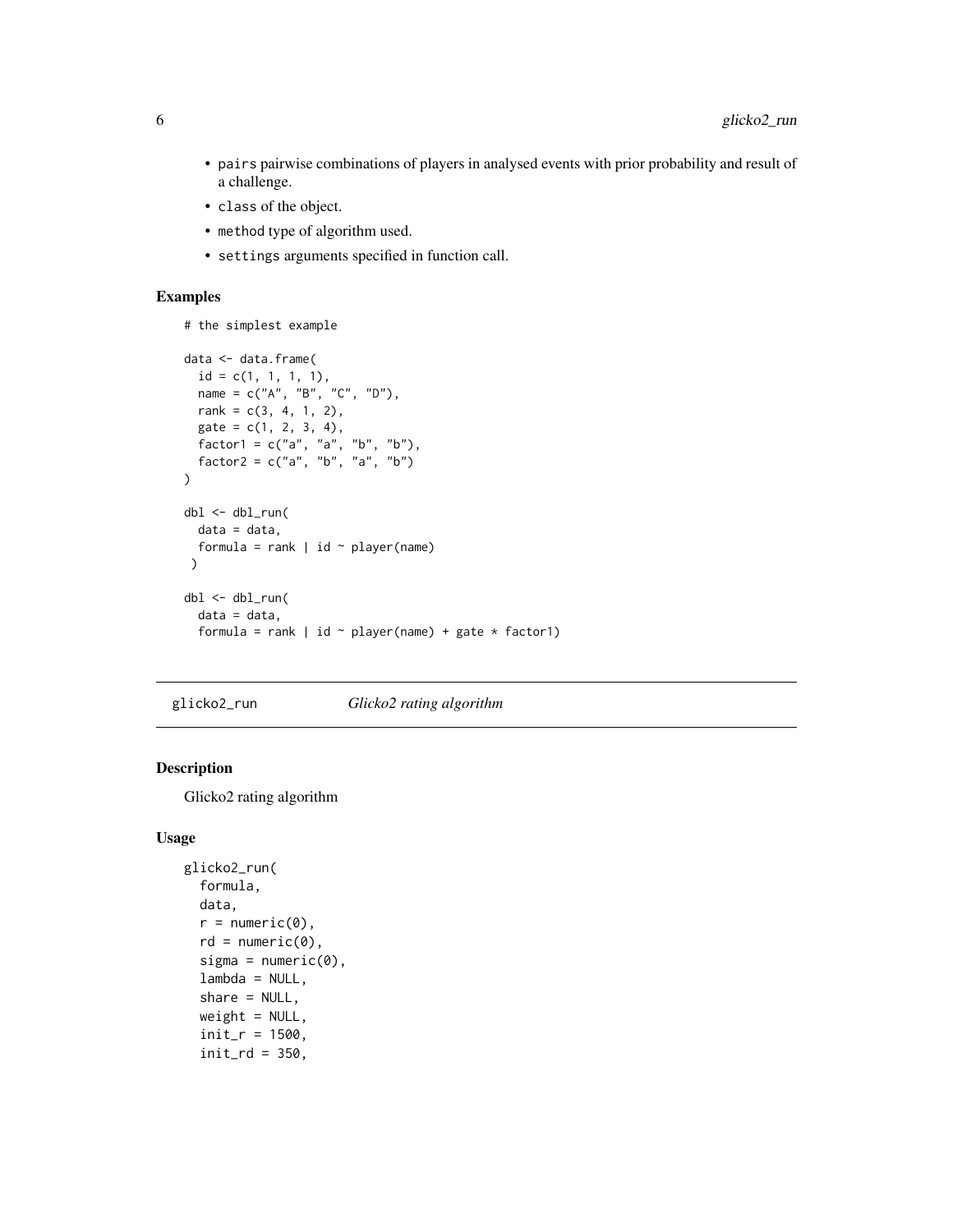- <span id="page-5-0"></span>• pairs pairwise combinations of players in analysed events with prior probability and result of a challenge.
- class of the object.
- method type of algorithm used.
- settings arguments specified in function call.

#### Examples

```
# the simplest example
```

```
data <- data.frame(
  id = c(1, 1, 1, 1),name = c("A", "B", "C", "D"),rank = c(3, 4, 1, 2),gate = c(1, 2, 3, 4),factor1 = c("a", "a", "b", "b"),factor2 = c("a", "b", "a", "b")
)
dbl <- dbl_run(
 data = data,
 formula = rank | id \sim player(name)
 )
dbl <- dbl_run(
  data = data,
  formula = rank | id \sim player(name) + gate * factor1)
```
glicko2\_run *Glicko2 rating algorithm*

# Description

Glicko2 rating algorithm

```
glicko2_run(
  formula,
  data,
  r = numeric(0),
  rd = numeric(0),
  sigma = numeric(0),
  lambda = NULL,
  share = NULL,
  weight = NULL,init_r = 1500,init\_rd = 350,
```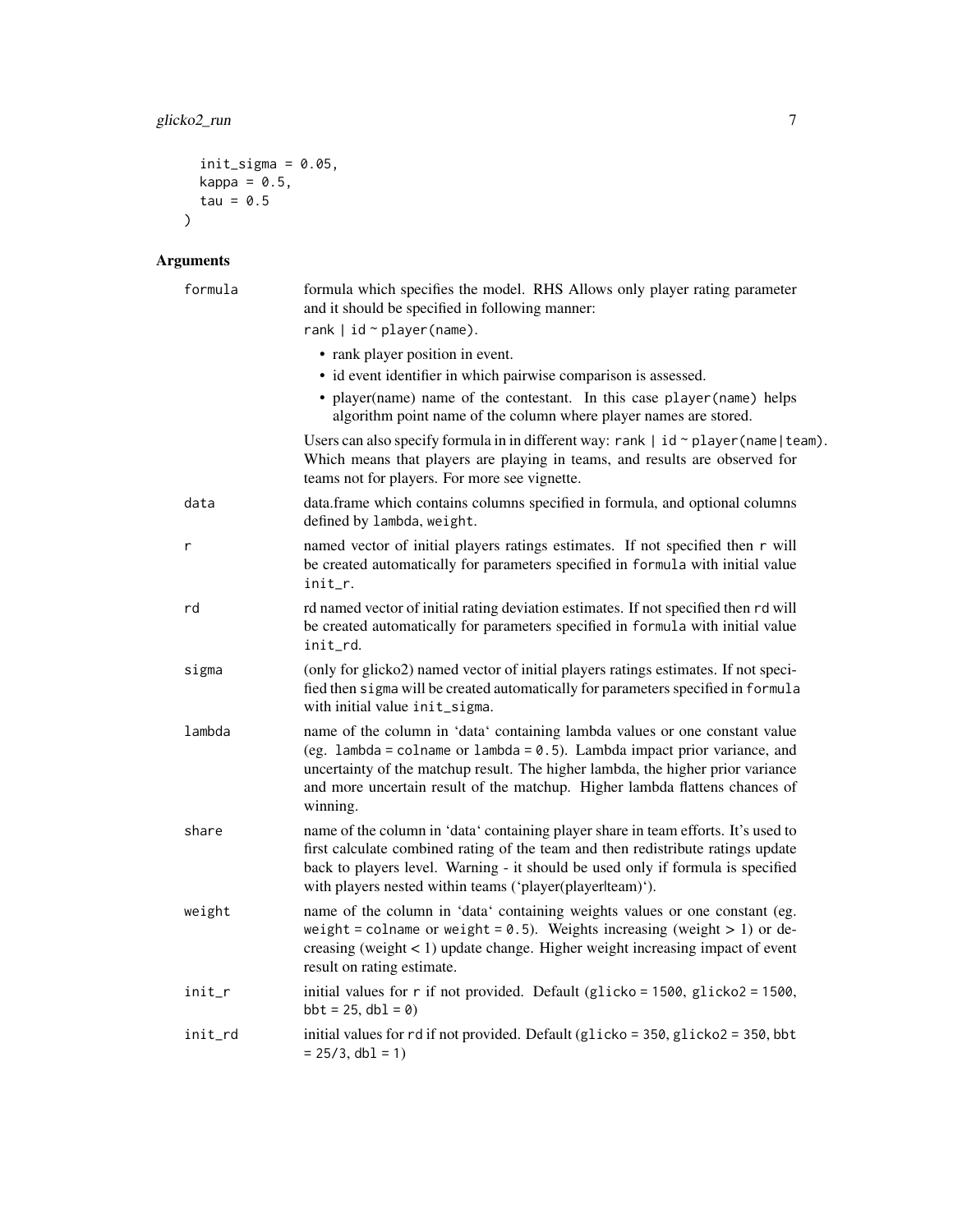```
init\_sigma = 0.05,
 kappa = 0.5,
 tau = 0.5\lambda
```

| formula | formula which specifies the model. RHS Allows only player rating parameter<br>and it should be specified in following manner:                                                                                                                                                                                                             |
|---------|-------------------------------------------------------------------------------------------------------------------------------------------------------------------------------------------------------------------------------------------------------------------------------------------------------------------------------------------|
|         | rank $ $ id $\sim$ player (name).                                                                                                                                                                                                                                                                                                         |
|         | • rank player position in event.                                                                                                                                                                                                                                                                                                          |
|         | • id event identifier in which pairwise comparison is assessed.                                                                                                                                                                                                                                                                           |
|         | • player(name) name of the contestant. In this case player(name) helps<br>algorithm point name of the column where player names are stored.                                                                                                                                                                                               |
|         | Users can also specify formula in in different way: rank $\mid$ id $\sim$ player (name $\mid$ team).<br>Which means that players are playing in teams, and results are observed for<br>teams not for players. For more see vignette.                                                                                                      |
| data    | data.frame which contains columns specified in formula, and optional columns<br>defined by lambda, weight.                                                                                                                                                                                                                                |
| r       | named vector of initial players ratings estimates. If not specified then r will<br>be created automatically for parameters specified in formula with initial value<br>init_r.                                                                                                                                                             |
| rd      | rd named vector of initial rating deviation estimates. If not specified then rd will<br>be created automatically for parameters specified in formula with initial value<br>init rd.                                                                                                                                                       |
| sigma   | (only for glicko2) named vector of initial players ratings estimates. If not speci-<br>fied then sigma will be created automatically for parameters specified in formula<br>with initial value init_sigma.                                                                                                                                |
| lambda  | name of the column in 'data' containing lambda values or one constant value<br>(eg. lambda = colname or lambda = $0.5$ ). Lambda impact prior variance, and<br>uncertainty of the matchup result. The higher lambda, the higher prior variance<br>and more uncertain result of the matchup. Higher lambda flattens chances of<br>winning. |
| share   | name of the column in 'data' containing player share in team efforts. It's used to<br>first calculate combined rating of the team and then redistribute ratings update<br>back to players level. Warning - it should be used only if formula is specified<br>with players nested within teams ('player(playerlteam)').                    |
| weight  | name of the column in 'data' containing weights values or one constant (eg.<br>weight = colname or weight = $0.5$ ). Weights increasing (weight > 1) or de-<br>creasing (weight $< 1$ ) update change. Higher weight increasing impact of event<br>result on rating estimate.                                                             |
| init_r  | initial values for r if not provided. Default (glicko = 1500, glicko2 = 1500,<br>$bbt = 25$ , $dbl = 0$                                                                                                                                                                                                                                   |
| init_rd | initial values for rd if not provided. Default (glicko = 350, glicko2 = 350, bbt<br>$= 25/3$ , db1 = 1)                                                                                                                                                                                                                                   |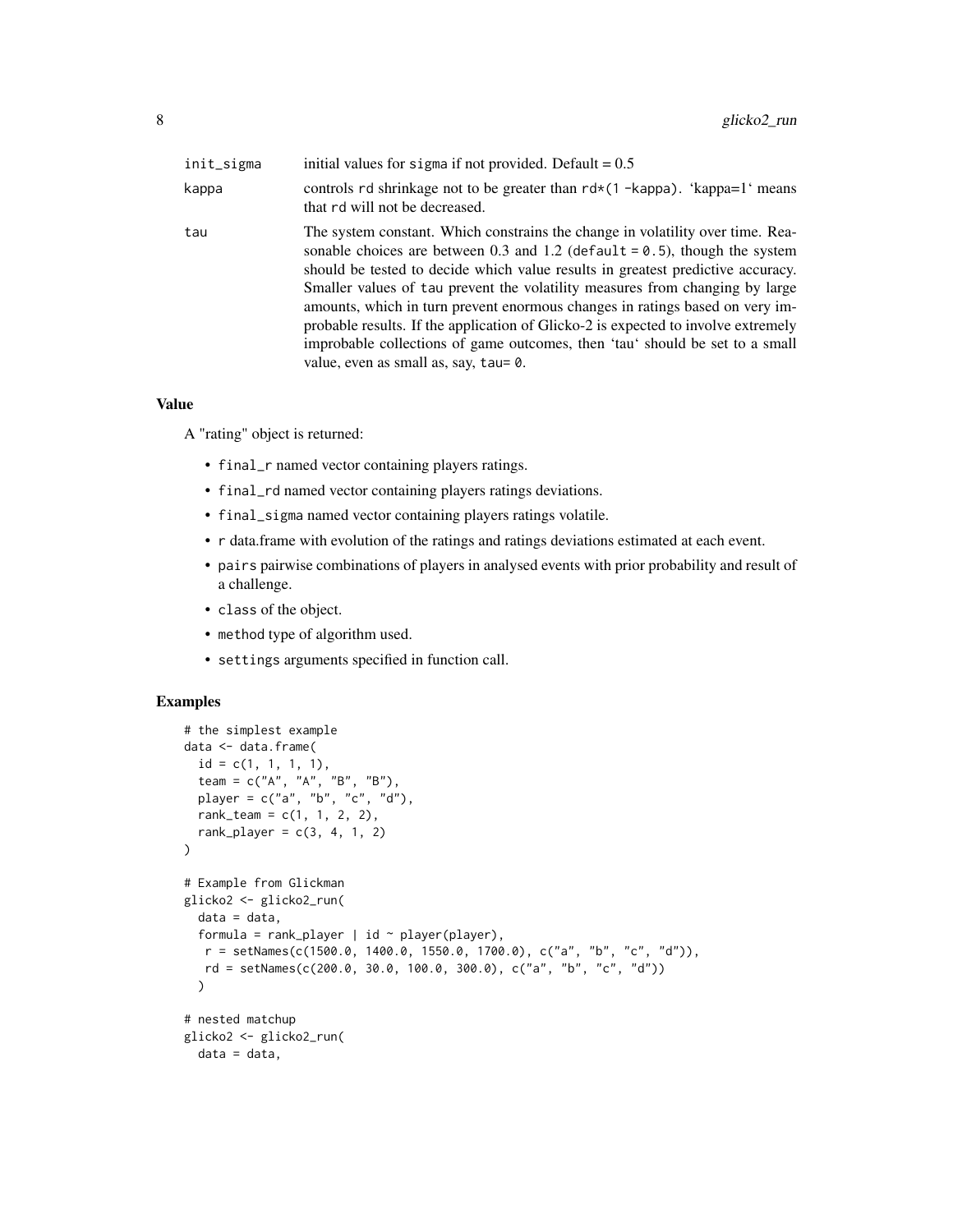| init_sigma | initial values for sigma if not provided. Default = $0.5$                                                                                                                                                                                                                                                                                                                                                                                                                                                                                                                                                                        |
|------------|----------------------------------------------------------------------------------------------------------------------------------------------------------------------------------------------------------------------------------------------------------------------------------------------------------------------------------------------------------------------------------------------------------------------------------------------------------------------------------------------------------------------------------------------------------------------------------------------------------------------------------|
| kappa      | controls rd shrinkage not to be greater than $rd*(1 - kappa)$ . 'kappa=1' means<br>that rd will not be decreased.                                                                                                                                                                                                                                                                                                                                                                                                                                                                                                                |
| tau        | The system constant. Which constrains the change in volatility over time. Rea-<br>sonable choices are between 0.3 and 1.2 (default = $0.5$ ), though the system<br>should be tested to decide which value results in greatest predictive accuracy.<br>Smaller values of tau prevent the volatility measures from changing by large<br>amounts, which in turn prevent enormous changes in ratings based on very im-<br>probable results. If the application of Glicko-2 is expected to involve extremely<br>improbable collections of game outcomes, then 'tau' should be set to a small<br>value, even as small as, say, tau= 0. |

#### Value

A "rating" object is returned:

- final\_r named vector containing players ratings.
- final\_rd named vector containing players ratings deviations.
- final\_sigma named vector containing players ratings volatile.
- r data.frame with evolution of the ratings and ratings deviations estimated at each event.
- pairs pairwise combinations of players in analysed events with prior probability and result of a challenge.
- class of the object.
- method type of algorithm used.
- settings arguments specified in function call.

# Examples

```
# the simplest example
data <- data.frame(
  id = c(1, 1, 1, 1),team = c("A", "A", "B", "B"),
  player = c("a", "b", "c", "d"),
  rank\_team = c(1, 1, 2, 2),rank_player = c(3, 4, 1, 2)\lambda# Example from Glickman
glicko2 <- glicko2_run(
  data = data,
  formula = rank_player | id \sim player(player),
  r = setNames(c(1500.0, 1400.0, 1550.0, 1700.0), c("a", "b", "c", "d")),
  rd = setNames(c(200.0, 30.0, 100.0, 300.0), c("a", "b", "c", "d"))
  )
# nested matchup
glicko2 <- glicko2_run(
  data = data,
```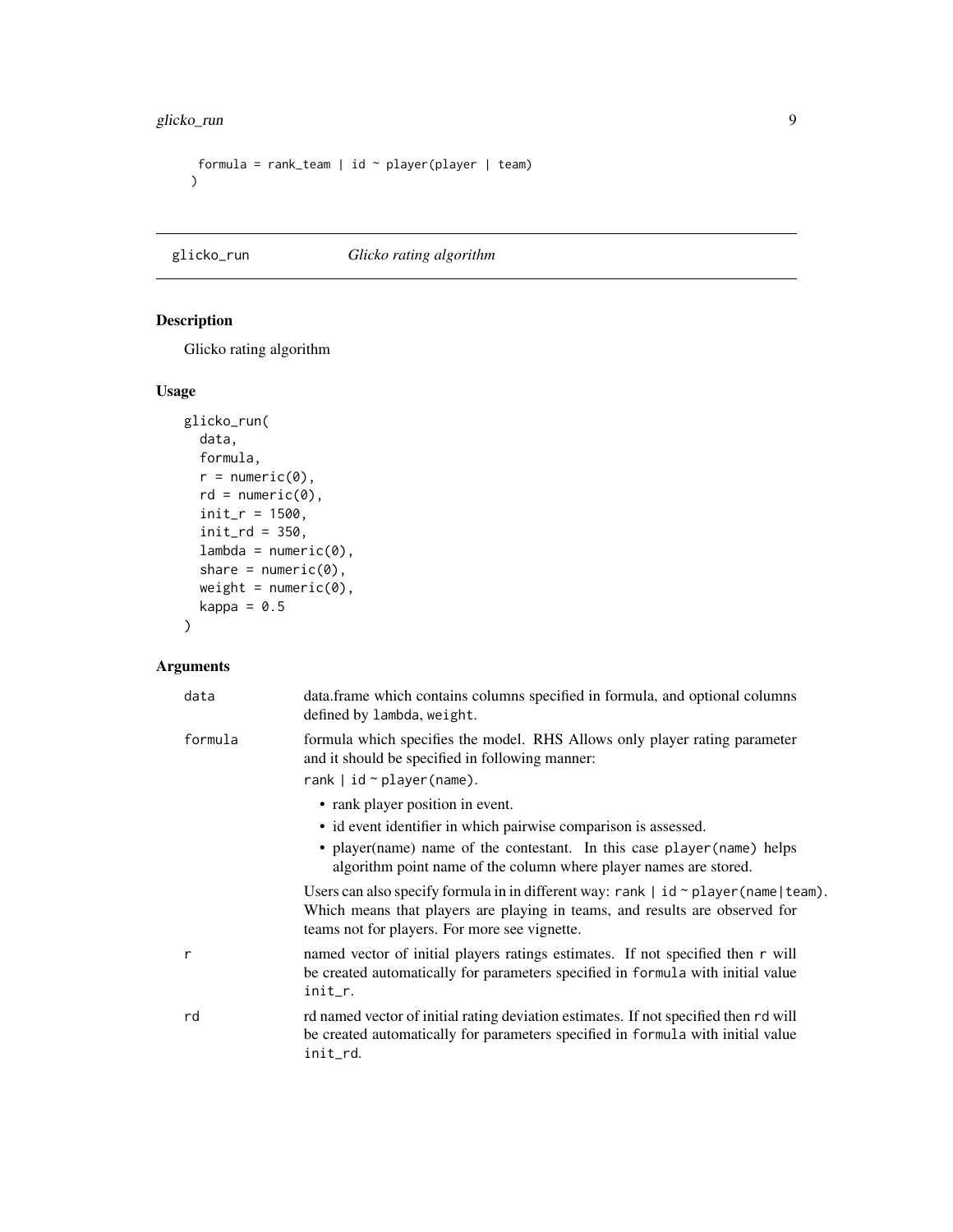```
formula = rank_team | id \sim player(player | team)
\mathcal{L}
```
# glicko\_run *Glicko rating algorithm*

# Description

Glicko rating algorithm

# Usage

```
glicko_run(
  data,
  formula,
  r = numeric(0),
  rd = numeric(0),
  init_r = 1500,init\_rd = 350,
  lambda = numeric(0),
  share = numeric(\emptyset),
  weight = numeric(0),
  kappa = 0.5)
```

| data         | data. frame which contains columns specified in formula, and optional columns<br>defined by lambda, weight.                                                                                                                                        |
|--------------|----------------------------------------------------------------------------------------------------------------------------------------------------------------------------------------------------------------------------------------------------|
| formula      | formula which specifies the model. RHS Allows only player rating parameter<br>and it should be specified in following manner:<br>rank $ $ id $\sim$ player (name).                                                                                 |
|              | • rank player position in event.<br>• id event identifier in which pairwise comparison is assessed.<br>• player(name) name of the contestant. In this case player(name) helps<br>algorithm point name of the column where player names are stored. |
|              | Users can also specify formula in in different way: rank $\vert$ id $\sim$ player (name $\vert$ team).<br>Which means that players are playing in teams, and results are observed for<br>teams not for players. For more see vignette.             |
| $\mathsf{r}$ | named vector of initial players ratings estimates. If not specified then r will<br>be created automatically for parameters specified in formula with initial value<br>init_r.                                                                      |
| rd           | rd named vector of initial rating deviation estimates. If not specified then rd will<br>be created automatically for parameters specified in formula with initial value<br>init_rd.                                                                |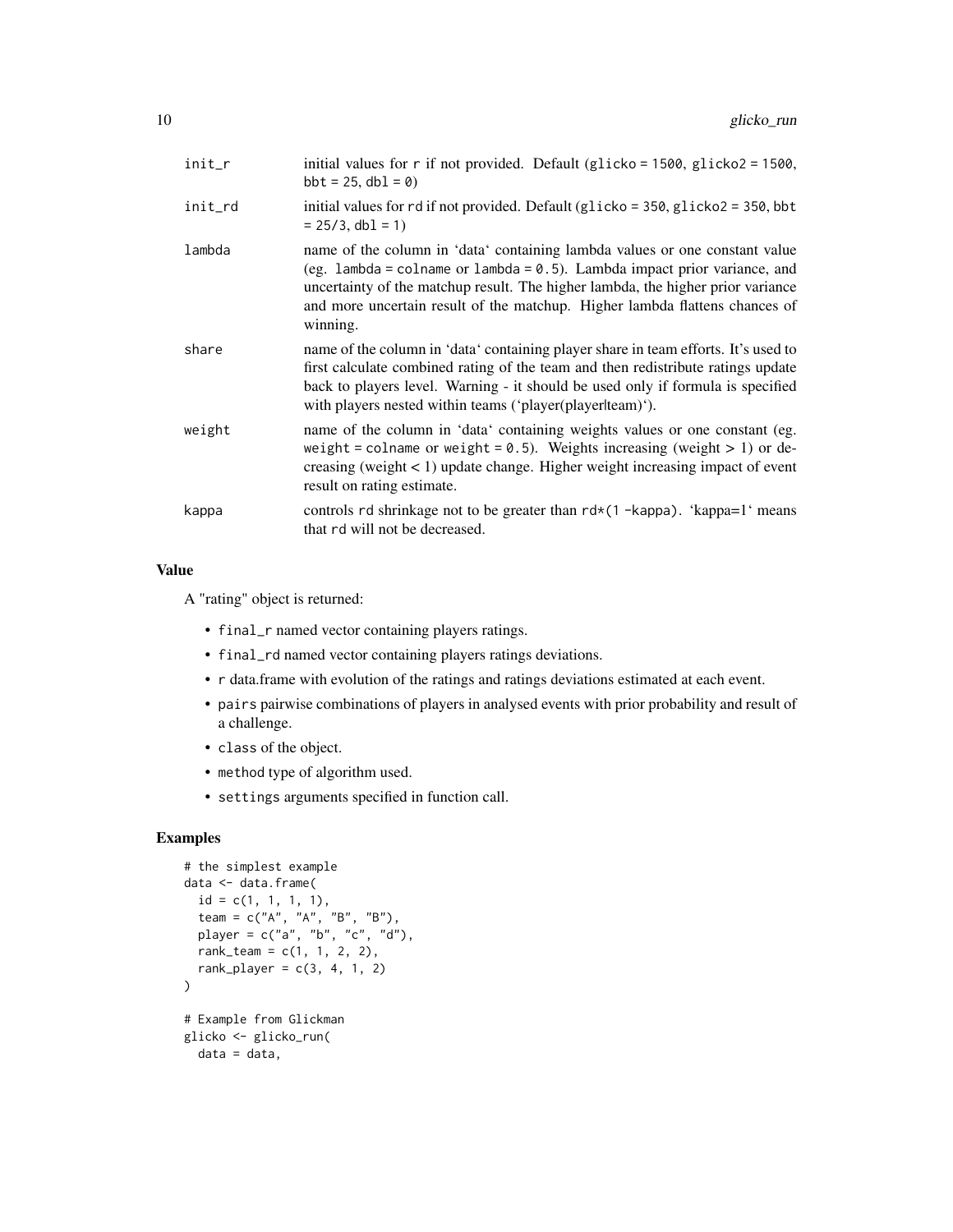| init_r  | initial values for $r$ if not provided. Default (glicko = 1500, glicko2 = 1500,<br>$bbt = 25$ , $dbl = 0$                                                                                                                                                                                                                                 |
|---------|-------------------------------------------------------------------------------------------------------------------------------------------------------------------------------------------------------------------------------------------------------------------------------------------------------------------------------------------|
| init_rd | initial values for rd if not provided. Default (glicko = $350$ , glicko $2 = 350$ , bbt<br>$= 25/3$ , db1 = 1)                                                                                                                                                                                                                            |
| lambda  | name of the column in 'data' containing lambda values or one constant value<br>(eg. lambda = colname or lambda = $0.5$ ). Lambda impact prior variance, and<br>uncertainty of the matchup result. The higher lambda, the higher prior variance<br>and more uncertain result of the matchup. Higher lambda flattens chances of<br>winning. |
| share   | name of the column in 'data' containing player share in team efforts. It's used to<br>first calculate combined rating of the team and then redistribute ratings update<br>back to players level. Warning - it should be used only if formula is specified<br>with players nested within teams ('player(playerlteam)').                    |
| weight  | name of the column in 'data' containing weights values or one constant (eg.<br>weight = colname or weight = 0.5). Weights increasing (weight > 1) or de-<br>creasing (weight $< 1$ ) update change. Higher weight increasing impact of event<br>result on rating estimate.                                                                |
| kappa   | controls rd shrinkage not to be greater than $rd*(1 - kappa)$ . 'kappa=1' means<br>that rd will not be decreased.                                                                                                                                                                                                                         |

# Value

A "rating" object is returned:

- final\_r named vector containing players ratings.
- final\_rd named vector containing players ratings deviations.
- r data.frame with evolution of the ratings and ratings deviations estimated at each event.
- pairs pairwise combinations of players in analysed events with prior probability and result of a challenge.
- class of the object.
- method type of algorithm used.
- settings arguments specified in function call.

# Examples

```
# the simplest example
data <- data.frame(
  id = c(1, 1, 1, 1),team = c("A", "A", "B", "B"),
 player = c("a", "b", "c", "d"),
  rank\_team = c(1, 1, 2, 2),rank_player = c(3, 4, 1, 2))
# Example from Glickman
glicko <- glicko_run(
 data = data,
```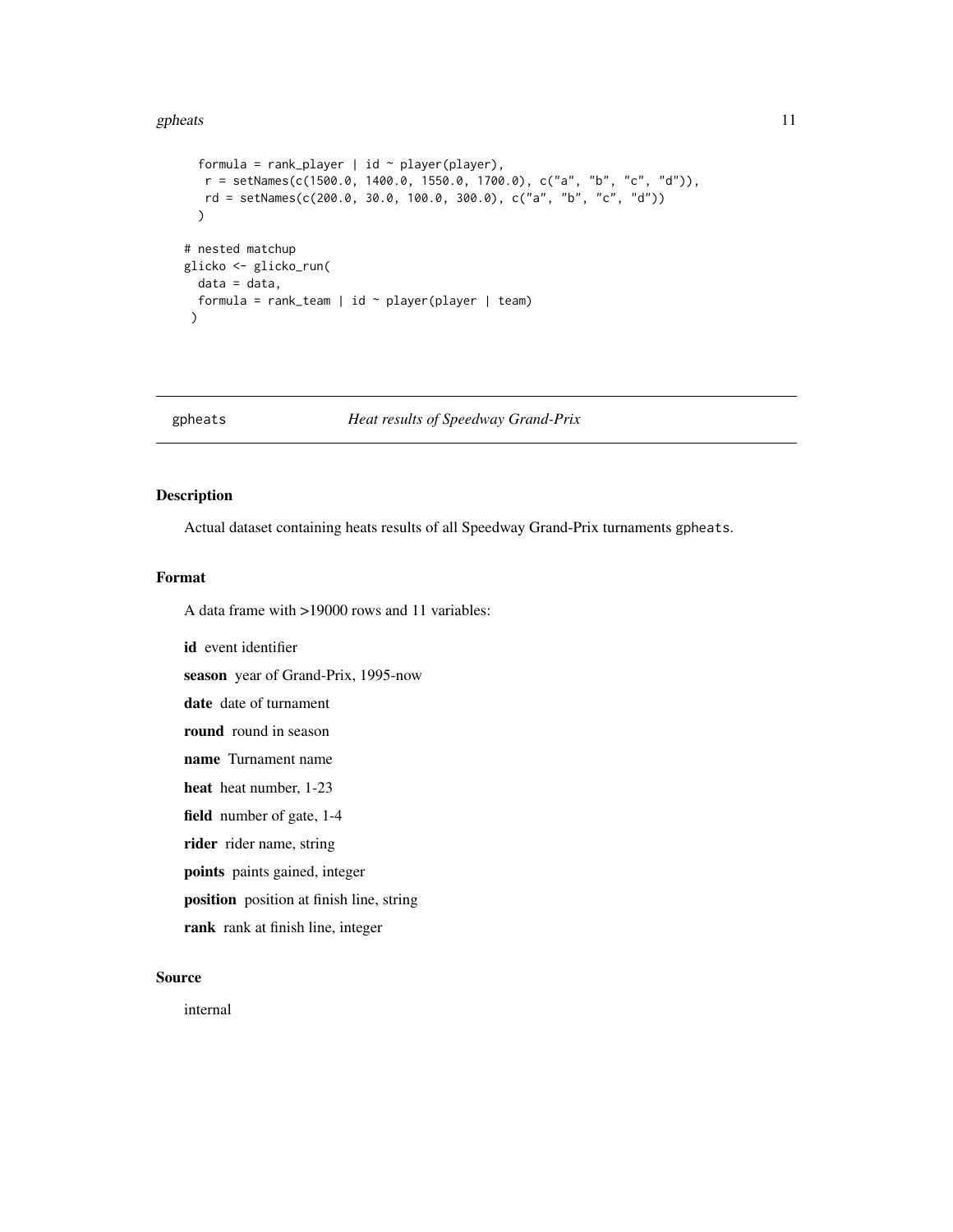#### <span id="page-10-0"></span>gpheats and the set of the set of the set of the set of the set of the set of the set of the set of the set of the set of the set of the set of the set of the set of the set of the set of the set of the set of the set of t

```
formula = rank_player | id \sim player(player),
  r = setNames(c(1500.0, 1400.0, 1550.0, 1700.0), c("a", "b", "c", "d")),
  rd = setNames(c(200.0, 30.0, 100.0, 300.0), c("a", "b", "c", "d"))
  \mathcal{L}# nested matchup
glicko <- glicko_run(
 data = data,
  formula = rank\_team | id ~ player(player | team)
\mathcal{L}
```
gpheats *Heat results of Speedway Grand-Prix*

# Description

Actual dataset containing heats results of all Speedway Grand-Prix turnaments gpheats.

#### Format

A data frame with >19000 rows and 11 variables:

id event identifier season year of Grand-Prix, 1995-now date date of turnament round round in season name Turnament name heat heat number, 1-23 field number of gate, 1-4 rider rider name, string points paints gained, integer position position at finish line, string rank rank at finish line, integer

#### Source

internal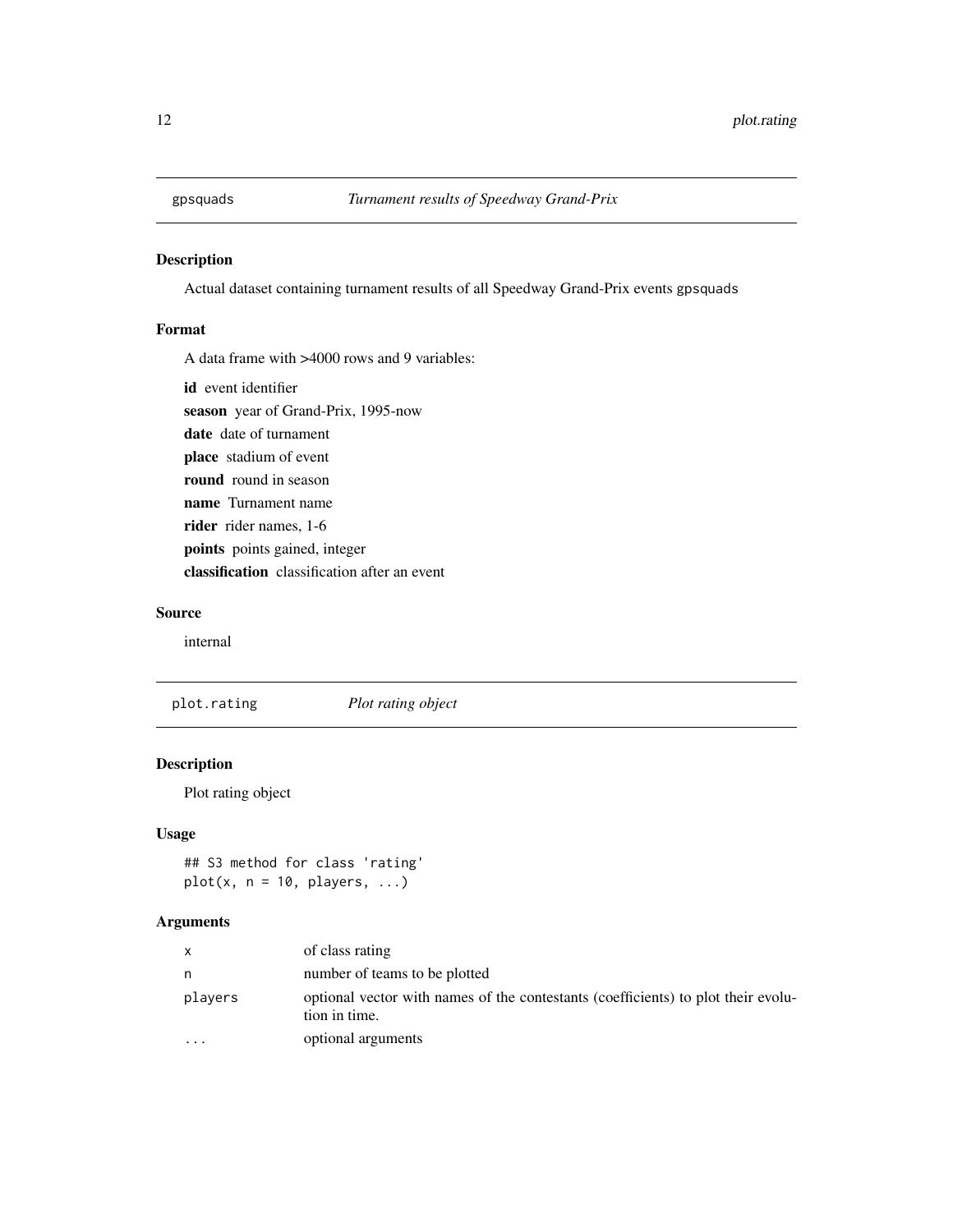<span id="page-11-0"></span>

#### Description

Actual dataset containing turnament results of all Speedway Grand-Prix events gpsquads

# Format

A data frame with >4000 rows and 9 variables:

id event identifier

season year of Grand-Prix, 1995-now

date date of turnament

place stadium of event

round round in season

name Turnament name

rider rider names, 1-6

points points gained, integer

classification classification after an event

# Source

internal

plot.rating *Plot rating object*

### Description

Plot rating object

#### Usage

## S3 method for class 'rating'  $plot(x, n = 10, players, ...)$ 

|           | of class rating                                                                                    |
|-----------|----------------------------------------------------------------------------------------------------|
| n         | number of teams to be plotted                                                                      |
| players   | optional vector with names of the contestants (coefficients) to plot their evolu-<br>tion in time. |
| $\ddotsc$ | optional arguments                                                                                 |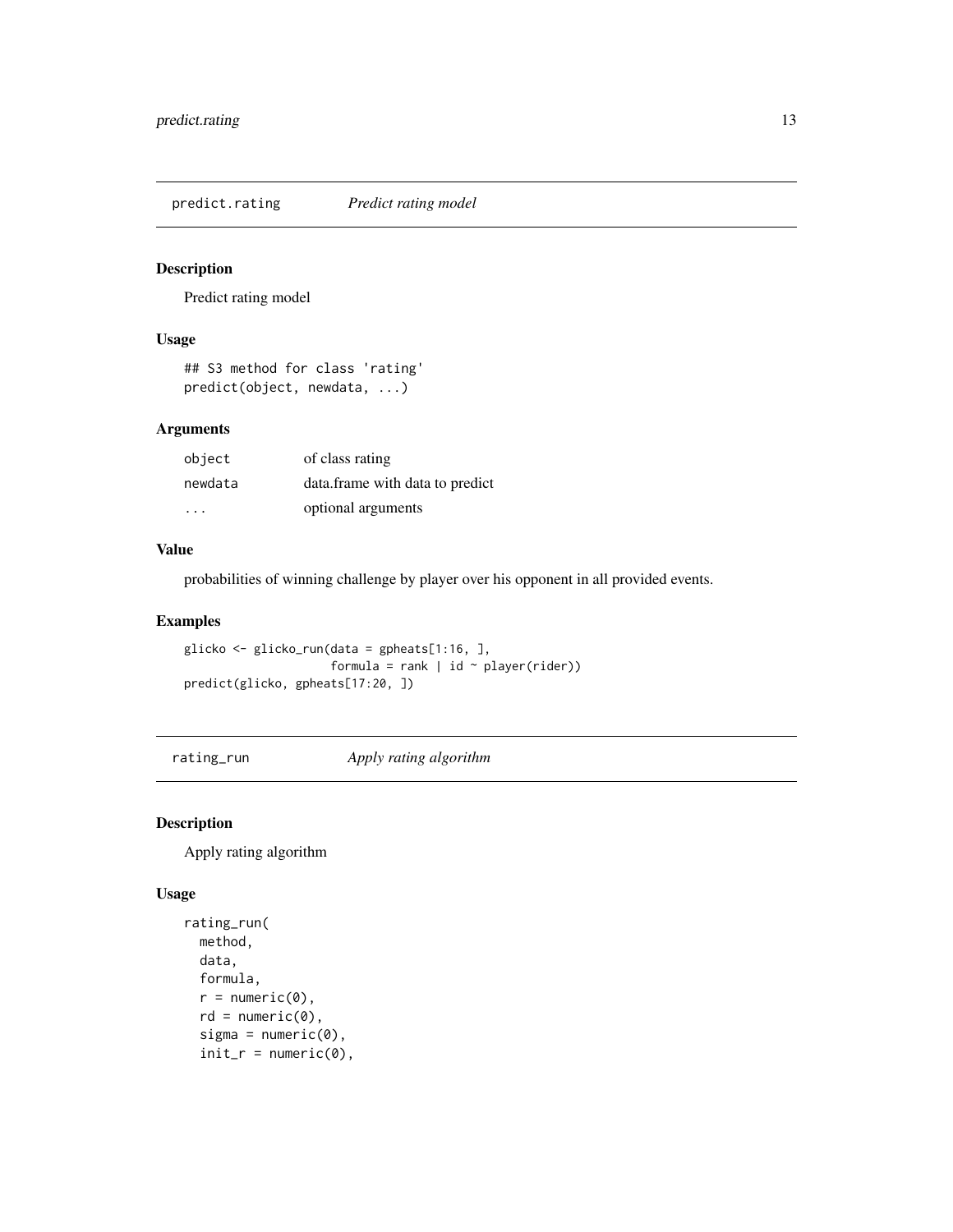<span id="page-12-0"></span>predict.rating *Predict rating model*

# Description

Predict rating model

# Usage

```
## S3 method for class 'rating'
predict(object, newdata, ...)
```
#### Arguments

| object  | of class rating                 |
|---------|---------------------------------|
| newdata | data.frame with data to predict |
| .       | optional arguments              |

### Value

probabilities of winning challenge by player over his opponent in all provided events.

# Examples

glicko <- glicko\_run(data = gpheats[1:16, ], formula = rank | id  $\sim$  player(rider)) predict(glicko, gpheats[17:20, ])

rating\_run *Apply rating algorithm*

# Description

Apply rating algorithm

```
rating_run(
 method,
 data,
 formula,
  r = numeric(0),
 rd = numeric(0),
  signa = numeric(0),
  init_r = numeric(0),
```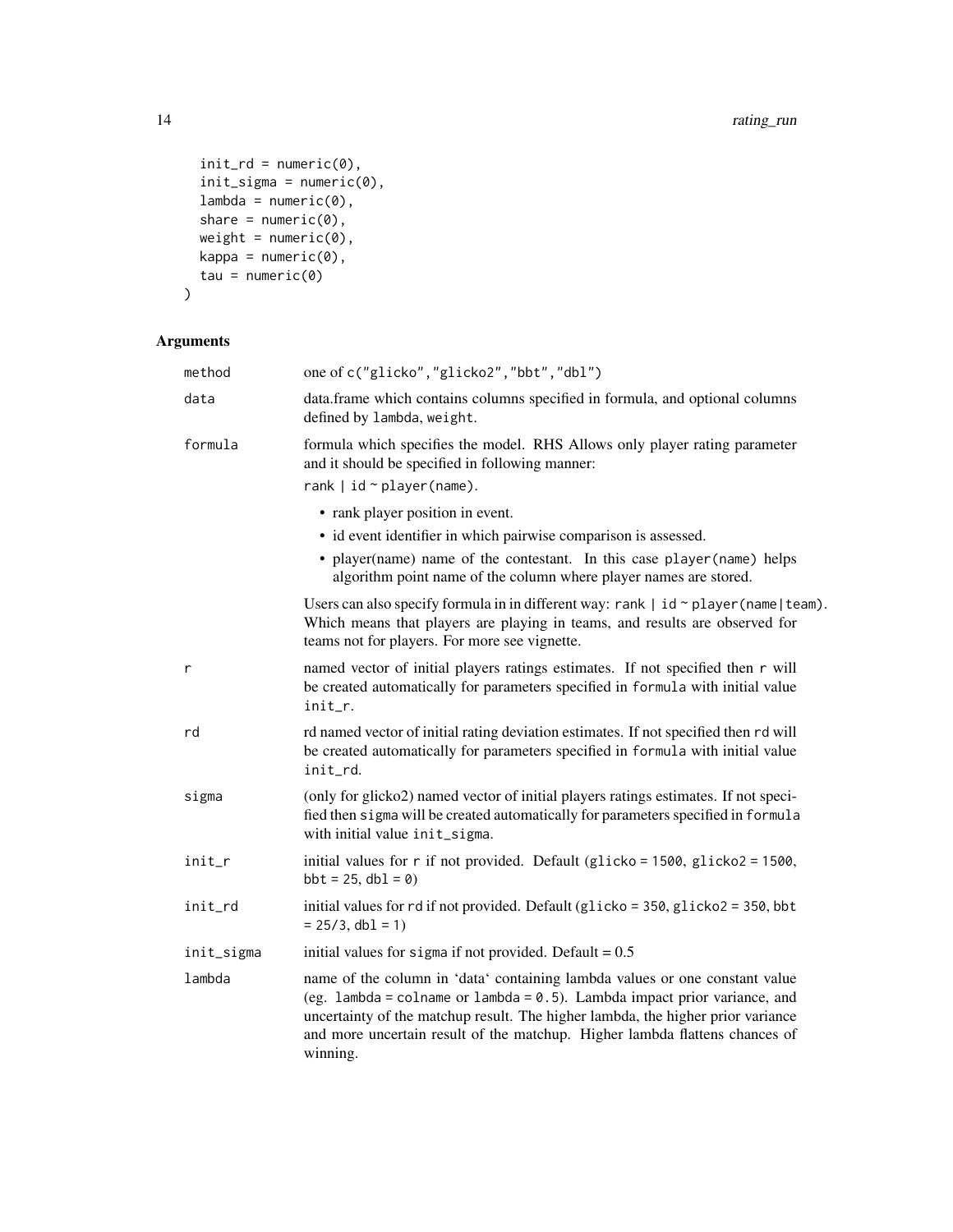```
init\_rd = numeric(0),
  init\_sigma = numeric(0),
  lambda = numeric(0),
  share = numeric(0),
  weight = numeric(0),
  kappa = numeric(0),
 tau = numeric(0)\mathcal{L}
```

| method     | one of c("glicko","glicko2","bbt","dbl")                                                                                                                                                                                                                                                                                                  |
|------------|-------------------------------------------------------------------------------------------------------------------------------------------------------------------------------------------------------------------------------------------------------------------------------------------------------------------------------------------|
| data       | data.frame which contains columns specified in formula, and optional columns<br>defined by lambda, weight.                                                                                                                                                                                                                                |
| formula    | formula which specifies the model. RHS Allows only player rating parameter<br>and it should be specified in following manner:<br>rank $ $ id $\sim$ player (name).                                                                                                                                                                        |
|            |                                                                                                                                                                                                                                                                                                                                           |
|            | • rank player position in event.                                                                                                                                                                                                                                                                                                          |
|            | • id event identifier in which pairwise comparison is assessed.                                                                                                                                                                                                                                                                           |
|            | • player(name) name of the contestant. In this case player(name) helps<br>algorithm point name of the column where player names are stored.                                                                                                                                                                                               |
|            | Users can also specify formula in in different way: rank $\vert$ id $\sim$ player (name $\vert$ team).<br>Which means that players are playing in teams, and results are observed for<br>teams not for players. For more see vignette.                                                                                                    |
| r          | named vector of initial players ratings estimates. If not specified then r will<br>be created automatically for parameters specified in formula with initial value<br>init r.                                                                                                                                                             |
| rd         | rd named vector of initial rating deviation estimates. If not specified then rd will<br>be created automatically for parameters specified in formula with initial value<br>init_rd.                                                                                                                                                       |
| sigma      | (only for glicko2) named vector of initial players ratings estimates. If not speci-<br>fied then sigma will be created automatically for parameters specified in formula<br>with initial value init_sigma.                                                                                                                                |
| init_r     | initial values for r if not provided. Default (glicko = 1500, glicko2 = 1500,<br>$bbt = 25$ , $dbl = 0)$                                                                                                                                                                                                                                  |
| init_rd    | initial values for rd if not provided. Default (glicko = 350, glicko2 = 350, bbt<br>$= 25/3$ , db1 = 1)                                                                                                                                                                                                                                   |
| init_sigma | initial values for sigma if not provided. Default = $0.5$                                                                                                                                                                                                                                                                                 |
| lambda     | name of the column in 'data' containing lambda values or one constant value<br>(eg. lambda = colname or lambda = $0.5$ ). Lambda impact prior variance, and<br>uncertainty of the matchup result. The higher lambda, the higher prior variance<br>and more uncertain result of the matchup. Higher lambda flattens chances of<br>winning. |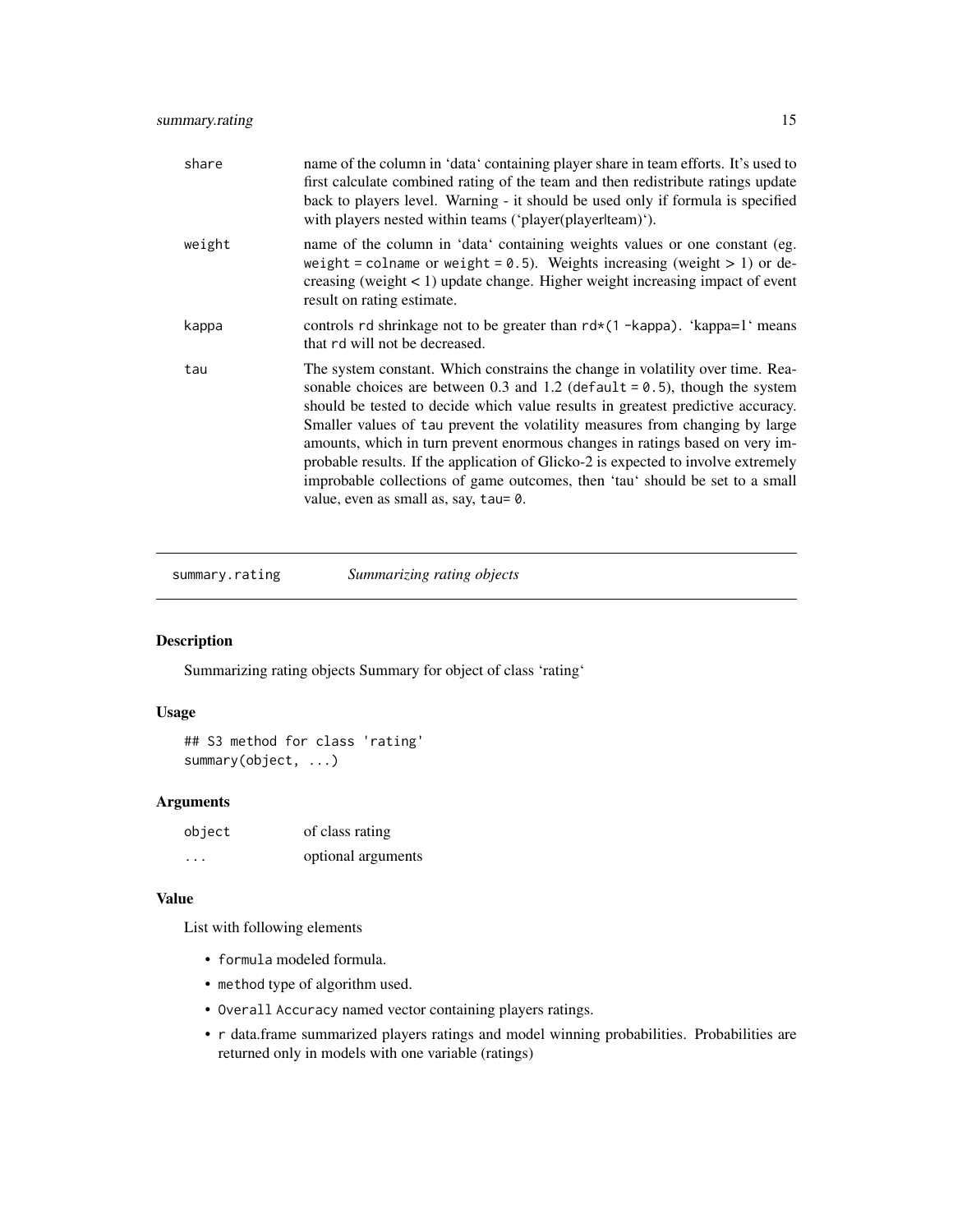<span id="page-14-0"></span>

| share  | name of the column in 'data' containing player share in team efforts. It's used to<br>first calculate combined rating of the team and then redistribute ratings update<br>back to players level. Warning - it should be used only if formula is specified<br>with players nested within teams ('player(playerlteam)').                                                                                                                                                                                                                                                                                                           |
|--------|----------------------------------------------------------------------------------------------------------------------------------------------------------------------------------------------------------------------------------------------------------------------------------------------------------------------------------------------------------------------------------------------------------------------------------------------------------------------------------------------------------------------------------------------------------------------------------------------------------------------------------|
| weight | name of the column in 'data' containing weights values or one constant (eg.<br>weight = colname or weight = $0.5$ ). Weights increasing (weight > 1) or de-<br>creasing (weight $\lt 1$ ) update change. Higher weight increasing impact of event<br>result on rating estimate.                                                                                                                                                                                                                                                                                                                                                  |
| kappa  | controls rd shrinkage not to be greater than $rd*(1 - kappa)$ . 'kappa=1' means<br>that rd will not be decreased.                                                                                                                                                                                                                                                                                                                                                                                                                                                                                                                |
| tau    | The system constant. Which constrains the change in volatility over time. Rea-<br>sonable choices are between 0.3 and 1.2 (default = $0.5$ ), though the system<br>should be tested to decide which value results in greatest predictive accuracy.<br>Smaller values of tau prevent the volatility measures from changing by large<br>amounts, which in turn prevent enormous changes in ratings based on very im-<br>probable results. If the application of Glicko-2 is expected to involve extremely<br>improbable collections of game outcomes, then 'tau' should be set to a small<br>value, even as small as, say, tau= 0. |

summary.rating *Summarizing rating objects*

# Description

Summarizing rating objects Summary for object of class 'rating'

#### Usage

## S3 method for class 'rating' summary(object, ...)

# Arguments

| object   | of class rating    |
|----------|--------------------|
| $\cdots$ | optional arguments |

# Value

List with following elements

- formula modeled formula.
- method type of algorithm used.
- Overall Accuracy named vector containing players ratings.
- r data.frame summarized players ratings and model winning probabilities. Probabilities are returned only in models with one variable (ratings)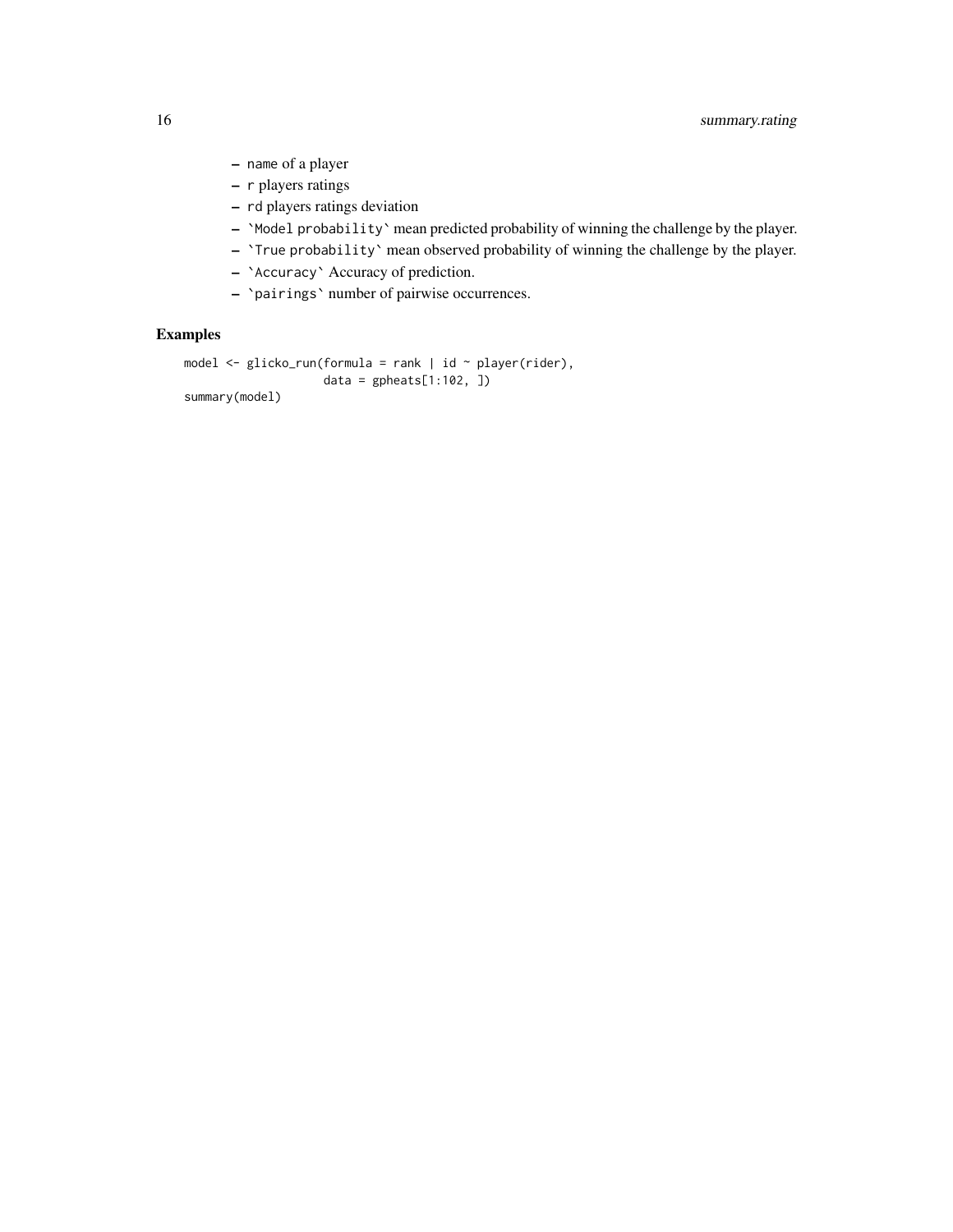- name of a player
- r players ratings
- rd players ratings deviation
- `Model probability` mean predicted probability of winning the challenge by the player.
- `True probability` mean observed probability of winning the challenge by the player.
- `Accuracy` Accuracy of prediction.
- `pairings` number of pairwise occurrences.

# Examples

```
model <- glicko_run(formula = rank | id ~ player(rider),
                   data = gpheats[1:102, ])
summary(model)
```